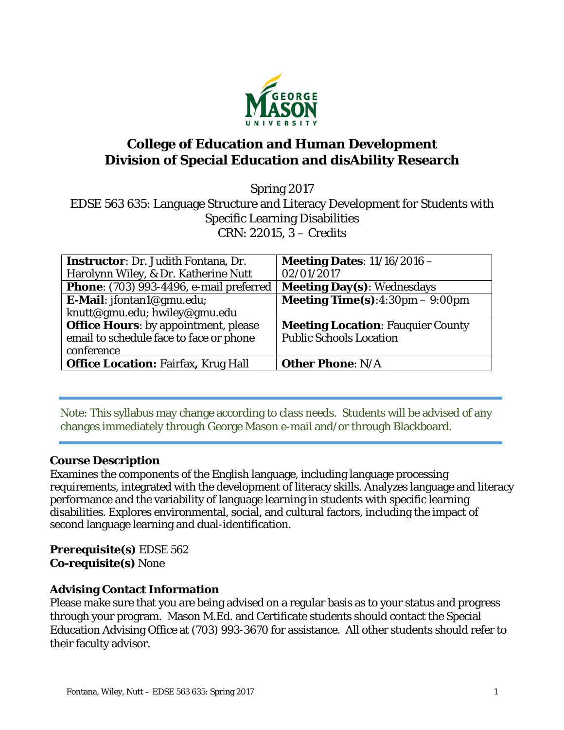

# **College of Education and Human Development Division of Special Education and disAbility Research**

Spring 2017 EDSE 563 635: Language Structure and Literacy Development for Students with Specific Learning Disabilities CRN: 22015, 3 – Credits

| <b>Instructor:</b> Dr. Judith Fontana, Dr.     | Meeting Dates: $11/16/2016$ -             |
|------------------------------------------------|-------------------------------------------|
| Harolynn Wiley, & Dr. Katherine Nutt           | 02/01/2017                                |
| <b>Phone:</b> (703) 993-4496, e-mail preferred | <b>Meeting Day(s): Wednesdays</b>         |
| E-Mail: jfontan1@gmu.edu;                      | <b>Meeting Time(s):</b> 4:30pm $-$ 9:00pm |
| knutt@gmu.edu; hwiley@gmu.edu                  |                                           |
| <b>Office Hours:</b> by appointment, please    | <b>Meeting Location: Fauguier County</b>  |
| email to schedule face to face or phone        | <b>Public Schools Location</b>            |
| conference                                     |                                           |
| <b>Office Location: Fairfax, Krug Hall</b>     | <b>Other Phone: N/A</b>                   |

Note: This syllabus may change according to class needs. Students will be advised of any changes immediately through George Mason e-mail and/or through Blackboard.

### **Course Description**

Examines the components of the English language, including language processing requirements, integrated with the development of literacy skills. Analyzes language and literacy performance and the variability of language learning in students with specific learning disabilities. Explores environmental, social, and cultural factors, including the impact of second language learning and dual-identification.

**Prerequisite(s)** EDSE 562 **Co-requisite(s)** None

#### **Advising Contact Information**

Please make sure that you are being advised on a regular basis as to your status and progress through your program. Mason M.Ed. and Certificate students should contact the Special Education Advising Office at (703) 993-3670 for assistance. All other students should refer to their faculty advisor.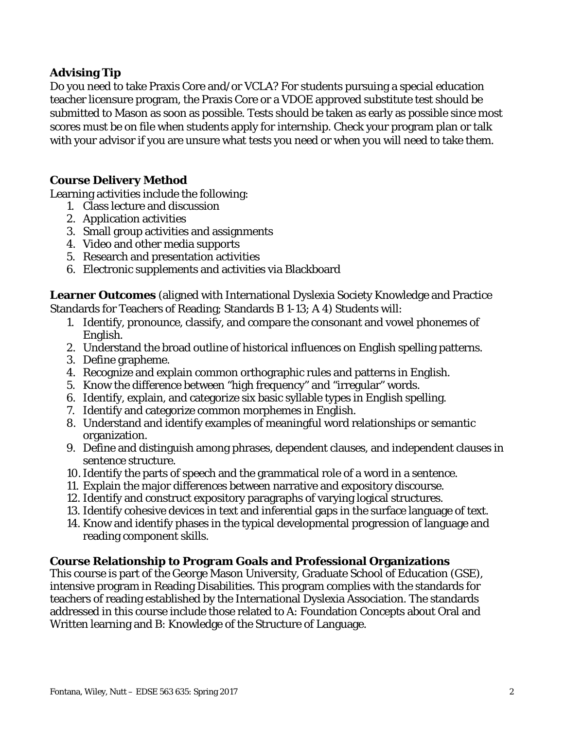# **Advising Tip**

Do you need to take Praxis Core and/or VCLA? For students pursuing a special education teacher licensure program, the Praxis Core or a VDOE approved substitute test should be submitted to Mason as soon as possible. Tests should be taken as early as possible since most scores must be on file when students apply for internship. Check your program plan or talk with your advisor if you are unsure what tests you need or when you will need to take them.

### **Course Delivery Method**

Learning activities include the following:

- 1. Class lecture and discussion
- 2. Application activities
- 3. Small group activities and assignments
- 4. Video and other media supports
- 5. Research and presentation activities
- 6. Electronic supplements and activities via Blackboard

**Learner Outcomes** (aligned with International Dyslexia Society Knowledge and Practice Standards for Teachers of Reading; Standards B 1-13; A 4) Students will:

- 1. Identify, pronounce, classify, and compare the consonant and vowel phonemes of English.
- 2. Understand the broad outline of historical influences on English spelling patterns.
- 3. Define grapheme.
- 4. Recognize and explain common orthographic rules and patterns in English.
- 5. Know the difference between "high frequency" and "irregular" words.
- 6. Identify, explain, and categorize six basic syllable types in English spelling.
- 7. Identify and categorize common morphemes in English.
- 8. Understand and identify examples of meaningful word relationships or semantic organization.
- 9. Define and distinguish among phrases, dependent clauses, and independent clauses in sentence structure.
- 10.Identify the parts of speech and the grammatical role of a word in a sentence.
- 11. Explain the major differences between narrative and expository discourse.
- 12. Identify and construct expository paragraphs of varying logical structures.
- 13. Identify cohesive devices in text and inferential gaps in the surface language of text.
- 14. Know and identify phases in the typical developmental progression of language and reading component skills.

#### **Course Relationship to Program Goals and Professional Organizations**

This course is part of the George Mason University, Graduate School of Education (GSE), intensive program in Reading Disabilities. This program complies with the standards for teachers of reading established by the International Dyslexia Association. The standards addressed in this course include those related to A: Foundation Concepts about Oral and Written learning and B: Knowledge of the Structure of Language.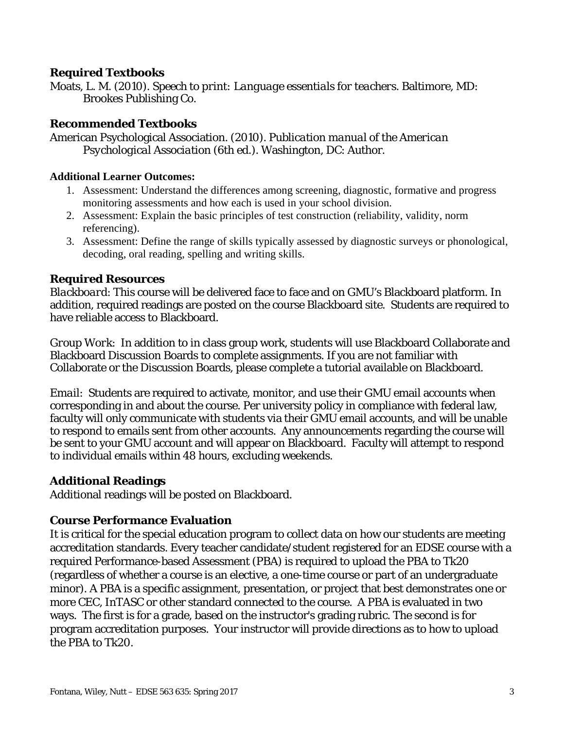### **Required Textbooks**

Moats, L. M. (2010). *Speech to print: Language essentials for teachers*. Baltimore, MD: Brookes Publishing Co.

#### **Recommended Textbooks**

American Psychological Association*. (2010). Publication manual of the American Psychological Association* (6th ed.). Washington, DC: Author.

#### **Additional Learner Outcomes:**

- 1. Assessment: Understand the differences among screening, diagnostic, formative and progress monitoring assessments and how each is used in your school division.
- 2. Assessment: Explain the basic principles of test construction (reliability, validity, norm referencing).
- 3. Assessment: Define the range of skills typically assessed by diagnostic surveys or phonological, decoding, oral reading, spelling and writing skills.

#### **Required Resources**

*Blackboard*: This course will be delivered face to face and on GMU's Blackboard platform. In addition, required readings are posted on the course Blackboard site. Students are required to have reliable access to Blackboard.

*Group Work*: In addition to in class group work, students will use Blackboard Collaborate and Blackboard Discussion Boards to complete assignments. If you are not familiar with Collaborate or the Discussion Boards, please complete a tutorial available on Blackboard.

*Email*: Students are required to activate, monitor, and use their GMU email accounts when corresponding in and about the course. Per university policy in compliance with federal law, faculty will only communicate with students via their GMU email accounts, and will be unable to respond to emails sent from other accounts. Any announcements regarding the course will be sent to your GMU account and will appear on Blackboard. Faculty will attempt to respond to individual emails within 48 hours, excluding weekends.

#### **Additional Readings**

Additional readings will be posted on Blackboard.

#### **Course Performance Evaluation**

It is critical for the special education program to collect data on how our students are meeting accreditation standards. Every teacher candidate/student registered for an EDSE course with a required Performance-based Assessment (PBA) is required to upload the PBA to Tk20 (regardless of whether a course is an elective, a one-time course or part of an undergraduate minor). A PBA is a specific assignment, presentation, or project that best demonstrates one or more CEC, InTASC or other standard connected to the course. A PBA is evaluated in two ways. The first is for a grade, based on the instructor's grading rubric. The second is for program accreditation purposes. Your instructor will provide directions as to how to upload the PBA to Tk20.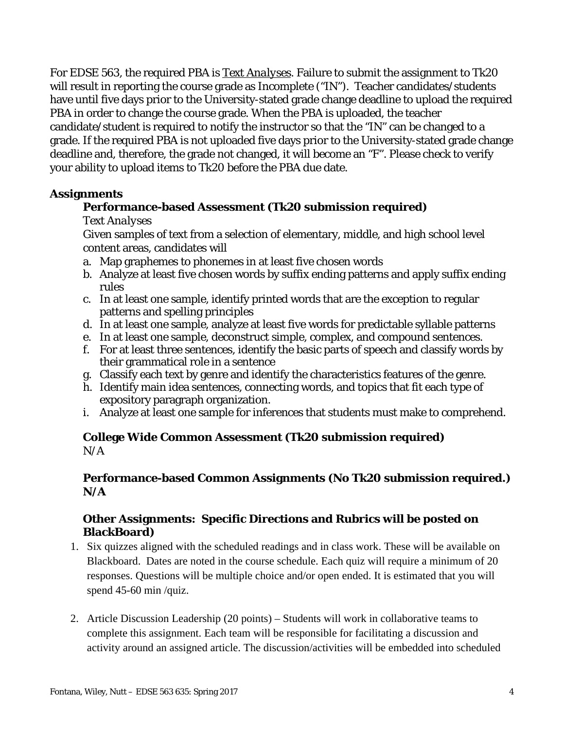For EDSE 563, the required PBA is *Text Analyses*. Failure to submit the assignment to Tk20 will result in reporting the course grade as Incomplete ("IN"). Teacher candidates/students have until five days prior to the University-stated grade change deadline to upload the required PBA in order to change the course grade. When the PBA is uploaded, the teacher candidate/student is required to notify the instructor so that the "IN" can be changed to a grade. If the required PBA is not uploaded five days prior to the University-stated grade change deadline and, therefore, the grade not changed, it will become an "F". Please check to verify your ability to upload items to Tk20 before the PBA due date.

### **Assignments**

### **Performance-based Assessment (Tk20 submission required)**

#### *Text Analyses*

Given samples of text from a selection of elementary, middle, and high school level content areas, candidates will

- a. Map graphemes to phonemes in at least five chosen words
- b. Analyze at least five chosen words by suffix ending patterns and apply suffix ending rules
- c. In at least one sample, identify printed words that are the exception to regular patterns and spelling principles
- d. In at least one sample, analyze at least five words for predictable syllable patterns
- e. In at least one sample, deconstruct simple, complex, and compound sentences.
- f. For at least three sentences, identify the basic parts of speech and classify words by their grammatical role in a sentence
- g. Classify each text by genre and identify the characteristics features of the genre.
- h. Identify main idea sentences, connecting words, and topics that fit each type of expository paragraph organization.
- i. Analyze at least one sample for inferences that students must make to comprehend.

### **College Wide Common Assessment (Tk20 submission required)**  $N/A$

### **Performance-based Common Assignments (No Tk20 submission required.) N/A**

### **Other Assignments: Specific Directions and Rubrics will be posted on BlackBoard)**

- 1. Six quizzes aligned with the scheduled readings and in class work. These will be available on Blackboard. Dates are noted in the course schedule. Each quiz will require a minimum of 20 responses. Questions will be multiple choice and/or open ended. It is estimated that you will spend 45-60 min /quiz.
- 2. Article Discussion Leadership (20 points) Students will work in collaborative teams to complete this assignment. Each team will be responsible for facilitating a discussion and activity around an assigned article. The discussion/activities will be embedded into scheduled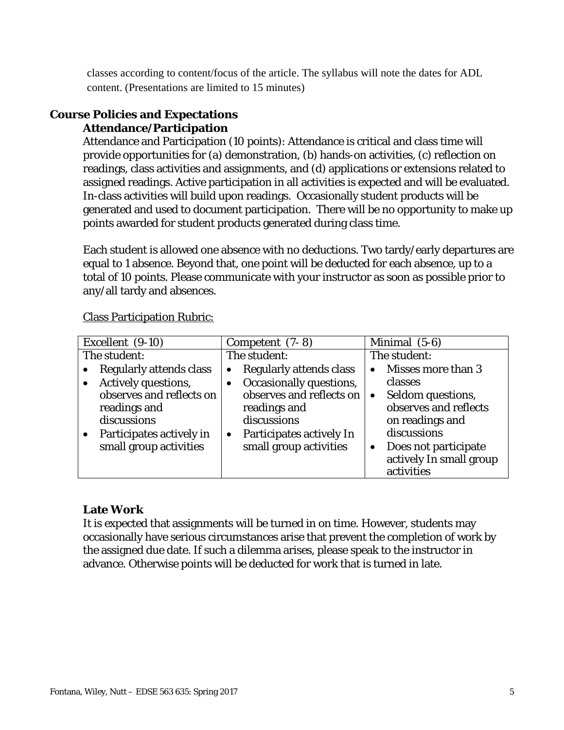classes according to content/focus of the article. The syllabus will note the dates for ADL content. (Presentations are limited to 15 minutes)

#### **Course Policies and Expectations Attendance/Participation**

Attendance and Participation (10 points): Attendance is critical and class time will provide opportunities for (a) demonstration, (b) hands-on activities, (c) reflection on readings, class activities and assignments, and (d) applications or extensions related to assigned readings. Active participation in all activities is expected and will be evaluated. In-class activities will build upon readings. Occasionally student products will be generated and used to document participation. There will be no opportunity to make up points awarded for student products generated during class time.

Each student is allowed one absence with no deductions. Two tardy/early departures are equal to 1 absence. Beyond that, one point will be deducted for each absence, up to a total of 10 points. Please communicate with your instructor as soon as possible prior to any/all tardy and absences.

| Excellent (9-10)                                                                    | Competent $(7-8)$                                                                                | Minimal (5-6)                                                                             |
|-------------------------------------------------------------------------------------|--------------------------------------------------------------------------------------------------|-------------------------------------------------------------------------------------------|
| The student:                                                                        | The student:                                                                                     | The student:                                                                              |
| Regularly attends class                                                             | Regularly attends class<br>٠                                                                     | Misses more than 3                                                                        |
| Actively questions,                                                                 | Occasionally questions,                                                                          | classes                                                                                   |
| observes and reflects on<br>readings and<br>discussions<br>Participates actively in | observes and reflects on<br>readings and<br>discussions<br>Participates actively In<br>$\bullet$ | Seldom questions,<br>$\bullet$<br>observes and reflects<br>on readings and<br>discussions |
| small group activities                                                              | small group activities                                                                           | Does not participate<br>$\bullet$<br>actively In small group<br>activities                |

Class Participation Rubric:

# **Late Work**

It is expected that assignments will be turned in on time. However, students may occasionally have serious circumstances arise that prevent the completion of work by the assigned due date. If such a dilemma arises, please speak to the instructor in advance. Otherwise points will be deducted for work that is turned in late.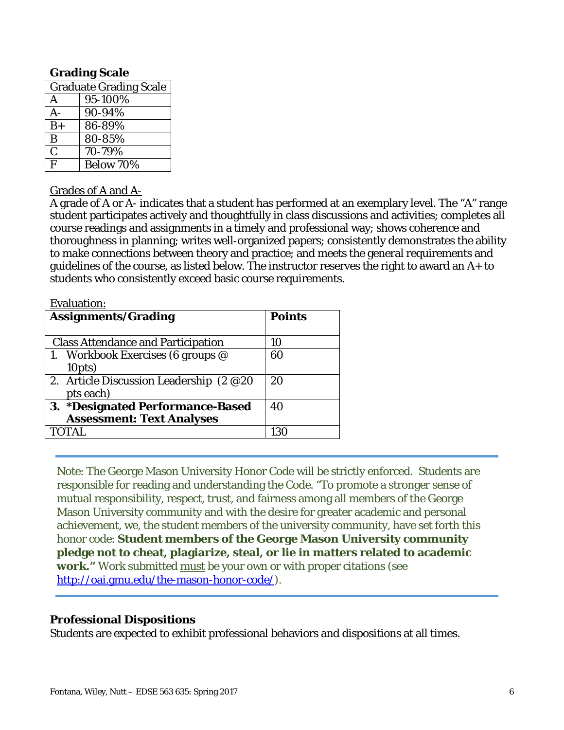### **Grading Scale**

| <b>Graduate Grading Scale</b> |           |  |
|-------------------------------|-----------|--|
| A                             | 95-100%   |  |
| A-                            | 90-94%    |  |
| $B+$                          | 86-89%    |  |
| B                             | 80-85%    |  |
| $\overline{C}$                | 70-79%    |  |
| $\mathbf{F}$                  | Below 70% |  |

#### Grades of A and A-

A grade of A or A- indicates that a student has performed at an exemplary level. The "A" range student participates actively and thoughtfully in class discussions and activities; completes all course readings and assignments in a timely and professional way; shows coherence and thoroughness in planning; writes well-organized papers; consistently demonstrates the ability to make connections between theory and practice; and meets the general requirements and guidelines of the course, as listed below. The instructor reserves the right to award an A+ to students who consistently exceed basic course requirements.

| <b>Evaluation:</b>                        |               |
|-------------------------------------------|---------------|
| <b>Assignments/Grading</b>                | <b>Points</b> |
|                                           |               |
| <b>Class Attendance and Participation</b> | 10            |
| 1. Workbook Exercises (6 groups $@$       | 60            |
| 10pts)                                    |               |
| 2. Article Discussion Leadership (2 @20   | 20            |
| pts each)                                 |               |
| 3. *Designated Performance-Based          | 40            |
| <b>Assessment: Text Analyses</b>          |               |
| TOTAL.                                    | 130           |
|                                           |               |

Note: The George Mason University Honor Code will be strictly enforced. Students are responsible for reading and understanding the Code. "To promote a stronger sense of mutual responsibility, respect, trust, and fairness among all members of the George Mason University community and with the desire for greater academic and personal achievement, we, the student members of the university community, have set forth this honor code: **Student members of the George Mason University community pledge not to cheat, plagiarize, steal, or lie in matters related to academic work."** Work submitted must be your own or with proper citations (see http://oai.gmu.edu/the-mason-honor-code/).

#### **Professional Dispositions**

Students are expected to exhibit professional behaviors and dispositions at all times.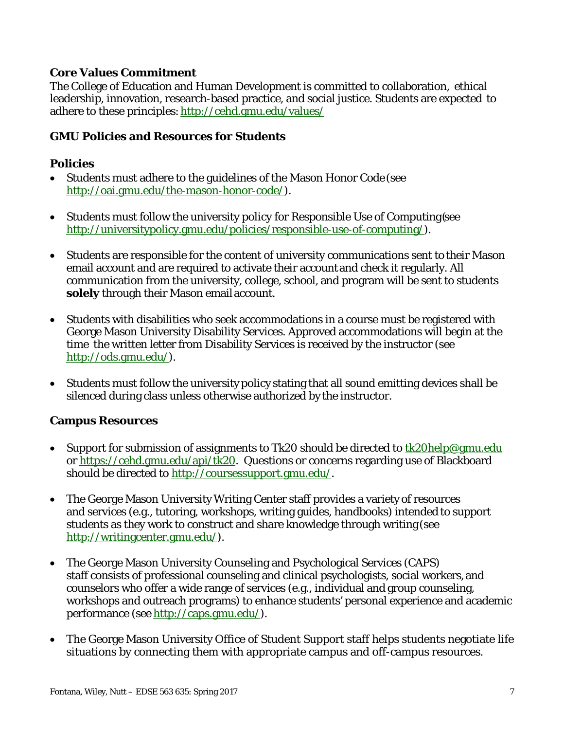### **Core Values Commitment**

The College of Education and Human Development is committed to collaboration, ethical leadership, innovation, research-based practice, and social justice. Students are expected to adhere to these principles: http://cehd.gmu.edu/values/

### **GMU Policies and Resources for Students**

### **Policies**

- Students must adhere to the guidelines of the Mason Honor Code (see http://oai.gmu.edu/the-mason-honor-code/).
- Students must follow the university policy for Responsible Use of Computing (see http://universitypolicy.gmu.edu/policies/responsible-use-of-computing/).
- Students are responsible for the content of university communications sent to their Mason email account and are required to activate their account and check it regularly. All communication from the university, college, school, and program will be sent to students **solely** through their Mason email account.
- Students with disabilities who seek accommodations in a course must be registered with George Mason University Disability Services. Approved accommodations will begin at the time the written letter from Disability Services is received by the instructor (see http://ods.gmu.edu/).
- Students must follow the university policy stating that all sound emitting devices shall be silenced during class unless otherwise authorized by the instructor.

#### **Campus Resources**

- Support for submission of assignments to Tk20 should be directed to  $tk20$ help@gmu.edu or https://cehd.gmu.edu/api/tk20. Questions or concerns regarding use of Blackboard should be directed to http://coursessupport.gmu.edu/.
- The George Mason University Writing Center staff provides a variety of resources and services (e.g., tutoring, workshops, writing guides, handbooks) intended to support students as they work to construct and share knowledge through writing (see http://writingcenter.gmu.edu/).
- The George Mason University Counseling and Psychological Services (CAPS) staff consists of professional counseling and clinical psychologists, social workers, and counselors who offer a wide range of services (e.g., individual and group counseling, workshops and outreach programs) to enhance students' personal experience and academic performance (see http://caps.gmu.edu/).
- The George Mason University Office of Student Support staff helps students negotiate life situations by connecting them with appropriate campus and off-campus resources.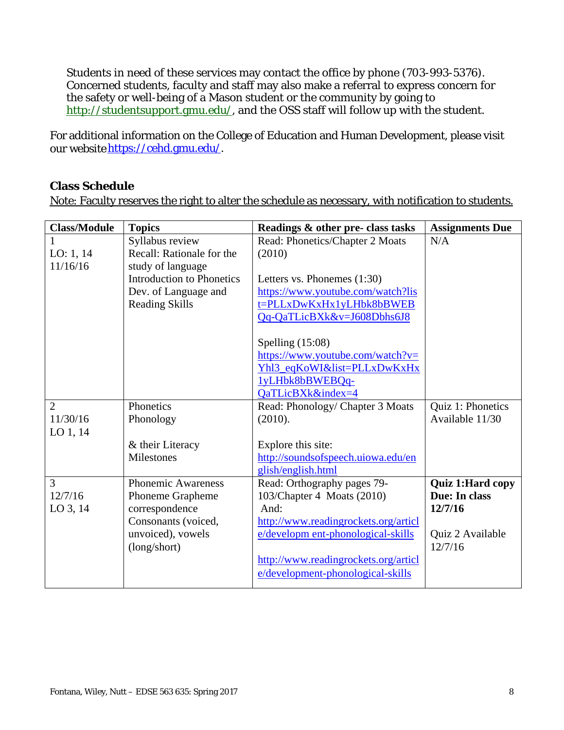Students in need of these services may contact the office by phone (703-993-5376). Concerned students, faculty and staff may also make a referral to express concern for the safety or well-being of a Mason student or the community by going to http://studentsupport.gmu.edu/, and the OSS staff will follow up with the student.

For additional information on the College of Education and Human Development, please visit our website https://cehd.gmu.edu/.

### **Class Schedule**

Note: Faculty reserves the right to alter the schedule as necessary, with notification to students.

| <b>Class/Module</b> | <b>Topics</b>                    | Readings & other pre- class tasks    | <b>Assignments Due</b>  |
|---------------------|----------------------------------|--------------------------------------|-------------------------|
|                     | Syllabus review                  | Read: Phonetics/Chapter 2 Moats      | N/A                     |
| LO: $1, 14$         | Recall: Rationale for the        | (2010)                               |                         |
| 11/16/16            | study of language                |                                      |                         |
|                     | <b>Introduction to Phonetics</b> | Letters vs. Phonemes $(1:30)$        |                         |
|                     | Dev. of Language and             | https://www.youtube.com/watch?lis    |                         |
|                     | <b>Reading Skills</b>            | t=PLLxDwKxHx1yLHbk8bBWEB             |                         |
|                     |                                  | Qq-QaTLicBXk&v=J608Dbhs6J8           |                         |
|                     |                                  | Spelling $(15:08)$                   |                         |
|                     |                                  | https://www.youtube.com/watch?v=     |                         |
|                     |                                  | Yhl3_eqKoWI&list=PLLxDwKxHx          |                         |
|                     |                                  | 1yLHbk8bBWEBQq-                      |                         |
|                     |                                  | QaTLicBXk&index=4                    |                         |
| $\overline{2}$      | Phonetics                        | Read: Phonology/ Chapter 3 Moats     | Quiz 1: Phonetics       |
| 11/30/16            | Phonology                        | (2010).                              | Available 11/30         |
| $LO$ 1, 14          |                                  |                                      |                         |
|                     | & their Literacy                 | Explore this site:                   |                         |
|                     | Milestones                       | http://soundsofspeech.uiowa.edu/en   |                         |
|                     |                                  | glish/english.html                   |                         |
| 3                   | <b>Phonemic Awareness</b>        | Read: Orthography pages 79-          | <b>Quiz 1:Hard copy</b> |
| 12/7/16             | Phoneme Grapheme                 | 103/Chapter 4 Moats (2010)           | Due: In class           |
| LO 3, 14            | correspondence                   | And:                                 | 12/7/16                 |
|                     | Consonants (voiced,              | http://www.readingrockets.org/articl |                         |
|                     | unvoiced), vowels                | e/developm ent-phonological-skills   | Quiz 2 Available        |
|                     | (long/short)                     |                                      | 12/7/16                 |
|                     |                                  | http://www.readingrockets.org/articl |                         |
|                     |                                  | e/development-phonological-skills    |                         |
|                     |                                  |                                      |                         |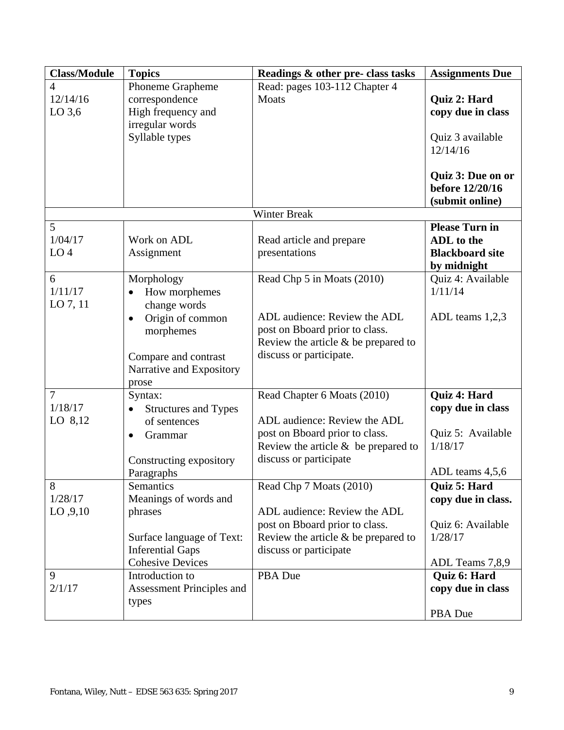| <b>Class/Module</b>                    | <b>Topics</b>                                                                                                                    | Readings & other pre- class tasks                                                                                                                                 | <b>Assignments Due</b>                                                                |
|----------------------------------------|----------------------------------------------------------------------------------------------------------------------------------|-------------------------------------------------------------------------------------------------------------------------------------------------------------------|---------------------------------------------------------------------------------------|
| 4<br>12/14/16<br>$LO$ 3,6              | Phoneme Grapheme<br>correspondence<br>High frequency and                                                                         | Read: pages 103-112 Chapter 4<br>Moats                                                                                                                            | Quiz 2: Hard<br>copy due in class                                                     |
|                                        | irregular words<br>Syllable types                                                                                                |                                                                                                                                                                   | Quiz 3 available<br>12/14/16                                                          |
|                                        |                                                                                                                                  |                                                                                                                                                                   | Quiz 3: Due on or<br>before 12/20/16<br>(submit online)                               |
|                                        |                                                                                                                                  | <b>Winter Break</b>                                                                                                                                               |                                                                                       |
| 5<br>1/04/17<br>LO <sub>4</sub>        | Work on ADL<br>Assignment                                                                                                        | Read article and prepare<br>presentations                                                                                                                         | <b>Please Turn in</b><br>ADL to the<br><b>Blackboard site</b><br>by midnight          |
| 6<br>1/11/17<br>LO 7, 11               | Morphology<br>How morphemes<br>change words                                                                                      | Read Chp 5 in Moats (2010)                                                                                                                                        | Quiz 4: Available<br>1/11/14                                                          |
|                                        | Origin of common<br>$\bullet$<br>morphemes<br>Compare and contrast<br>Narrative and Expository<br>prose                          | ADL audience: Review the ADL<br>post on Bboard prior to class.<br>Review the article $\&$ be prepared to<br>discuss or participate.                               | ADL teams 1,2,3                                                                       |
| $\overline{7}$<br>1/18/17<br>LO $8,12$ | Syntax:<br><b>Structures and Types</b><br>of sentences<br>Grammar<br>$\bullet$<br>Constructing expository<br>Paragraphs          | Read Chapter 6 Moats (2010)<br>ADL audience: Review the ADL<br>post on Bboard prior to class.<br>Review the article $\&$ be prepared to<br>discuss or participate | Quiz 4: Hard<br>copy due in class<br>Quiz 5: Available<br>1/18/17<br>ADL teams 4,5,6  |
| 8<br>1/28/17<br>LO, 9, 10              | Semantics<br>Meanings of words and<br>phrases<br>Surface language of Text:<br><b>Inferential Gaps</b><br><b>Cohesive Devices</b> | Read Chp 7 Moats (2010)<br>ADL audience: Review the ADL<br>post on Bboard prior to class.<br>Review the article $\&$ be prepared to<br>discuss or participate     | Quiz 5: Hard<br>copy due in class.<br>Quiz 6: Available<br>1/28/17<br>ADL Teams 7,8,9 |
| 9<br>2/1/17                            | Introduction to<br><b>Assessment Principles and</b><br>types                                                                     | PBA Due                                                                                                                                                           | <b>Quiz 6: Hard</b><br>copy due in class<br>PBA Due                                   |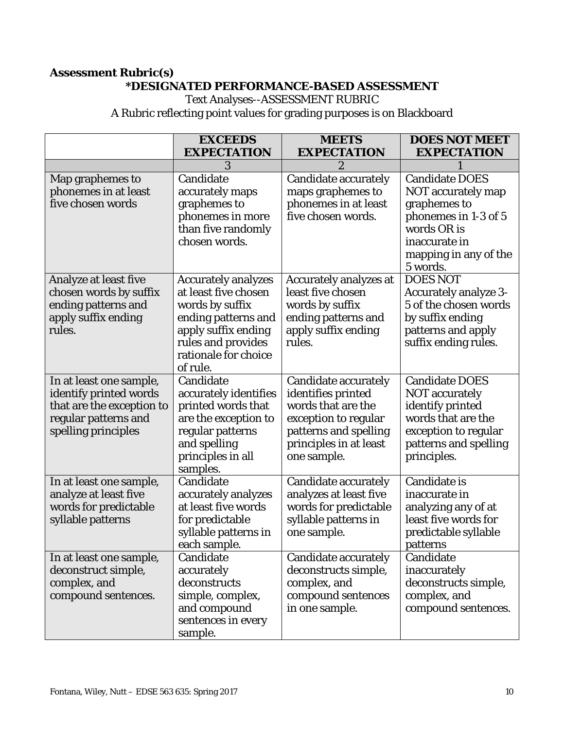## **Assessment Rubric(s) \*DESIGNATED PERFORMANCE-BASED ASSESSMENT**

Text Analyses--ASSESSMENT RUBRIC

A Rubric reflecting point values for grading purposes is on Blackboard

|                                                                                                                               | <b>EXCEEDS</b>                                                                                                                                                                | <b>MEETS</b>                                                                                                                                                      | <b>DOES NOT MEET</b>                                                                                                                                     |
|-------------------------------------------------------------------------------------------------------------------------------|-------------------------------------------------------------------------------------------------------------------------------------------------------------------------------|-------------------------------------------------------------------------------------------------------------------------------------------------------------------|----------------------------------------------------------------------------------------------------------------------------------------------------------|
|                                                                                                                               | <b>EXPECTATION</b>                                                                                                                                                            | <b>EXPECTATION</b>                                                                                                                                                | <b>EXPECTATION</b>                                                                                                                                       |
|                                                                                                                               | 3                                                                                                                                                                             | $\overline{2}$                                                                                                                                                    |                                                                                                                                                          |
| Map graphemes to<br>phonemes in at least<br>five chosen words                                                                 | Candidate<br>accurately maps<br>graphemes to<br>phonemes in more<br>than five randomly<br>chosen words.                                                                       | Candidate accurately<br>maps graphemes to<br>phonemes in at least<br>five chosen words.                                                                           | <b>Candidate DOES</b><br>NOT accurately map<br>graphemes to<br>phonemes in 1-3 of 5<br>words OR is<br>inaccurate in<br>mapping in any of the<br>5 words. |
| Analyze at least five<br>chosen words by suffix<br>ending patterns and<br>apply suffix ending<br>rules.                       | <b>Accurately analyzes</b><br>at least five chosen<br>words by suffix<br>ending patterns and<br>apply suffix ending<br>rules and provides<br>rationale for choice<br>of rule. | <b>Accurately analyzes at</b><br>least five chosen<br>words by suffix<br>ending patterns and<br>apply suffix ending<br>rules.                                     | <b>DOES NOT</b><br><b>Accurately analyze 3-</b><br>5 of the chosen words<br>by suffix ending<br>patterns and apply<br>suffix ending rules.               |
| In at least one sample,<br>identify printed words<br>that are the exception to<br>regular patterns and<br>spelling principles | Candidate<br>accurately identifies<br>printed words that<br>are the exception to<br>regular patterns<br>and spelling<br>principles in all<br>samples.                         | <b>Candidate accurately</b><br>identifies printed<br>words that are the<br>exception to regular<br>patterns and spelling<br>principles in at least<br>one sample. | <b>Candidate DOES</b><br><b>NOT</b> accurately<br>identify printed<br>words that are the<br>exception to regular<br>patterns and spelling<br>principles. |
| In at least one sample,<br>analyze at least five<br>words for predictable<br>syllable patterns                                | Candidate<br>accurately analyzes<br>at least five words<br>for predictable<br>syllable patterns in<br>each sample.                                                            | Candidate accurately<br>analyzes at least five<br>words for predictable<br>syllable patterns in<br>one sample.                                                    | <b>Candidate is</b><br>inaccurate in<br>analyzing any of at<br>least five words for<br>predictable syllable<br>patterns                                  |
| In at least one sample,<br>deconstruct simple,<br>complex, and<br>compound sentences.                                         | Candidate<br>accurately<br>deconstructs<br>simple, complex,<br>and compound<br>sentences in every<br>sample.                                                                  | Candidate accurately<br>deconstructs simple,<br>complex, and<br>compound sentences<br>in one sample.                                                              | Candidate<br>inaccurately<br>deconstructs simple,<br>complex, and<br>compound sentences.                                                                 |